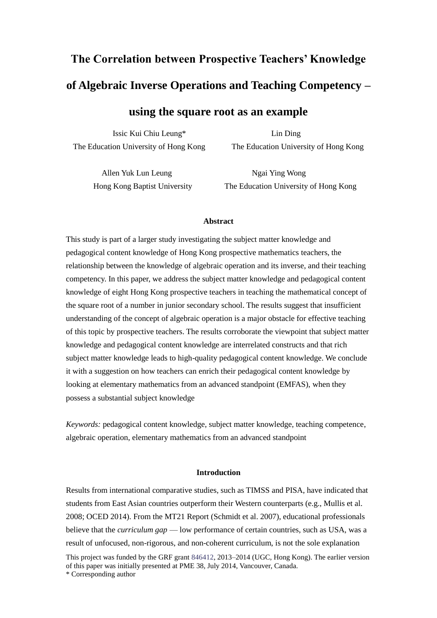# **The Correlation between Prospective Teachers' Knowledge of Algebraic Inverse Operations and Teaching Competency – using the square root as an example**

[Issic](https://staffmail.ied.edu.hk/OWA/?ae=Item&t=IPM.Note&id=RgAAAAAGftqImDXeSKOgdrkanWSKBwBB00nnfbO3QaruBG%2bSjfd%2fAQiJT2MfAABB00nnfbO3QaruBG%2bSjfd%2fAQiLAnS9AAAJ) Kui Chiu Leung\* Lin Ding The Education University of Hong Kong The Education University of Hong Kong

Allen Yuk Lun Leung Ngai Ying Wong

Hong Kong Baptist University The Education University of Hong Kong

## **Abstract**

This study is part of a larger study investigating the subject matter knowledge and pedagogical content knowledge of Hong Kong prospective mathematics teachers, the relationship between the knowledge of algebraic operation and its inverse, and their teaching competency. In this paper, we address the subject matter knowledge and pedagogical content knowledge of eight Hong Kong prospective teachers in teaching the mathematical concept of the square root of a number in junior secondary school. The results suggest that insufficient understanding of the concept of algebraic operation is a major obstacle for effective teaching of this topic by prospective teachers. The results corroborate the viewpoint that subject matter knowledge and pedagogical content knowledge are interrelated constructs and that rich subject matter knowledge leads to high-quality pedagogical content knowledge. We conclude it with a suggestion on how teachers can enrich their pedagogical content knowledge by looking at elementary mathematics from an advanced standpoint (EMFAS), when they possess a substantial subject knowledge

*Keywords:* pedagogical content knowledge, subject matter knowledge, teaching competence, algebraic operation, elementary mathematics from an advanced standpoint

## **Introduction**

This project was funded by the GRF grant 846412, 2013–2014 (UGC, Hong Kong). The earlier version Results from international comparative studies, such as TIMSS and PISA, have indicated that students from East Asian countries outperform their Western counterparts (e.g., Mullis et al. 2008; OCED 2014). From the MT21 Report (Schmidt et al. 2007), educational professionals believe that the *curriculum gap* — low performance of certain countries, such as USA, was a result of unfocused, non-rigorous, and non-coherent curriculum, is not the sole explanation

of this paper was initially presented at PME 38, July 2014, Vancouver, Canada. \* Corresponding author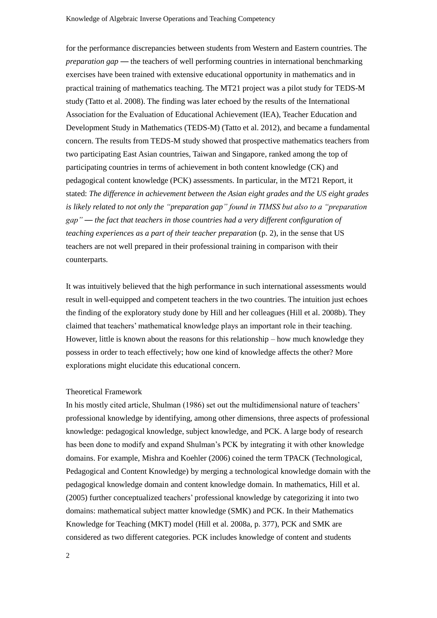for the performance discrepancies between students from Western and Eastern countries. The *preparation gap* — the teachers of well performing countries in international benchmarking exercises have been trained with extensive educational opportunity in mathematics and in practical training of mathematics teaching. The MT21 project was a pilot study for TEDS-M study (Tatto et al. 2008). The finding was later echoed by the results of the International Association for the Evaluation of Educational Achievement (IEA), Teacher Education and Development Study in Mathematics (TEDS-M) (Tatto et al. 2012), and became a fundamental concern. The results from TEDS-M study showed that prospective mathematics teachers from two participating East Asian countries, Taiwan and Singapore, ranked among the top of participating countries in terms of achievement in both content knowledge (CK) and pedagogical content knowledge (PCK) assessments. In particular, in the MT21 Report, it stated: *The difference in achievement between the Asian eight grades and the US eight grades is likely related to not only the "preparation gap" found in TIMSS but also to a "preparation gap" — the fact that teachers in those countries had a very different configuration of teaching experiences as a part of their teacher preparation* (p. 2), in the sense that US teachers are not well prepared in their professional training in comparison with their counterparts.

It was intuitively believed that the high performance in such international assessments would result in well-equipped and competent teachers in the two countries. The intuition just echoes the finding of the exploratory study done by Hill and her colleagues (Hill et al. 2008b). They claimed that teachers' mathematical knowledge plays an important role in their teaching. However, little is known about the reasons for this relationship – how much knowledge they possess in order to teach effectively; how one kind of knowledge affects the other? More explorations might elucidate this educational concern.

## Theoretical Framework

In his mostly cited article, Shulman (1986) set out the multidimensional nature of teachers' professional knowledge by identifying, among other dimensions, three aspects of professional knowledge: pedagogical knowledge, subject knowledge, and PCK. A large body of research has been done to modify and expand Shulman's PCK by integrating it with other knowledge domains. For example, Mishra and Koehler (2006) coined the term TPACK (Technological, Pedagogical and Content Knowledge) by merging a technological knowledge domain with the pedagogical knowledge domain and content knowledge domain. In mathematics, Hill et al. (2005) further conceptualized teachers' professional knowledge by categorizing it into two domains: mathematical subject matter knowledge (SMK) and PCK. In their Mathematics Knowledge for Teaching (MKT) model (Hill et al. 2008a, p. 377), PCK and SMK are considered as two different categories. PCK includes knowledge of content and students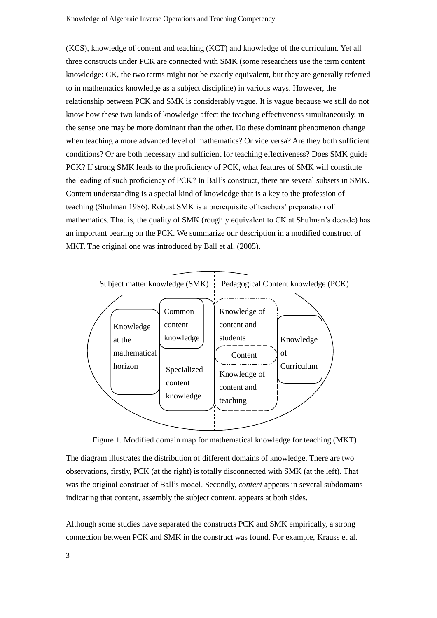(KCS), knowledge of content and teaching (KCT) and knowledge of the curriculum. Yet all three constructs under PCK are connected with SMK (some researchers use the term content knowledge: CK, the two terms might not be exactly equivalent, but they are generally referred to in mathematics knowledge as a subject discipline) in various ways. However, the relationship between PCK and SMK is considerably vague. It is vague because we still do not know how these two kinds of knowledge affect the teaching effectiveness simultaneously, in the sense one may be more dominant than the other. Do these dominant phenomenon change when teaching a more advanced level of mathematics? Or vice versa? Are they both sufficient conditions? Or are both necessary and sufficient for teaching effectiveness? Does SMK guide PCK? If strong SMK leads to the proficiency of PCK, what features of SMK will constitute the leading of such proficiency of PCK? In Ball's construct, there are several subsets in SMK. Content understanding is a special kind of knowledge that is a key to the profession of teaching (Shulman 1986). Robust SMK is a prerequisite of teachers' preparation of mathematics. That is, the quality of SMK (roughly equivalent to CK at Shulman's decade) has an important bearing on the PCK. We summarize our description in a modified construct of MKT. The original one was introduced by Ball et al. (2005).





The diagram illustrates the distribution of different domains of knowledge. There are two observations, firstly, PCK (at the right) is totally disconnected with SMK (at the left). That was the original construct of Ball's model. Secondly, *content* appears in several subdomains indicating that content, assembly the subject content, appears at both sides.

Although some studies have separated the constructs PCK and SMK empirically, a strong connection between PCK and SMK in the construct was found. For example, Krauss et al.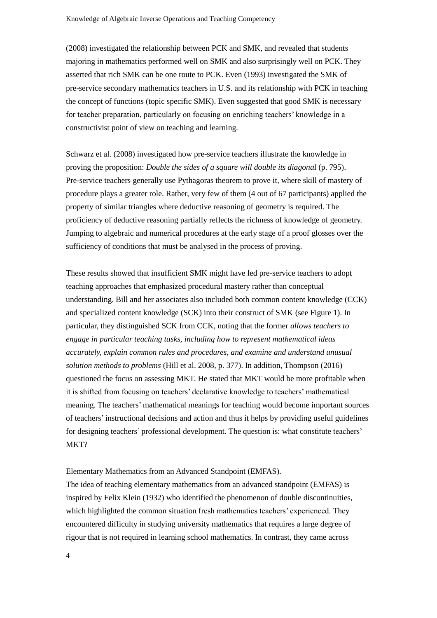(2008) investigated the relationship between PCK and SMK, and revealed that students majoring in mathematics performed well on SMK and also surprisingly well on PCK. They asserted that rich SMK can be one route to PCK. Even (1993) investigated the SMK of pre-service secondary mathematics teachers in U.S. and its relationship with PCK in teaching the concept of functions (topic specific SMK). Even suggested that good SMK is necessary for teacher preparation, particularly on focusing on enriching teachers' knowledge in a constructivist point of view on teaching and learning.

Schwarz et al. (2008) investigated how pre-service teachers illustrate the knowledge in proving the proposition: *Double the sides of a square will double its diagona*l (p. 795). Pre-service teachers generally use Pythagoras theorem to prove it, where skill of mastery of procedure plays a greater role. Rather, very few of them (4 out of 67 participants) applied the property of similar triangles where deductive reasoning of geometry is required. The proficiency of deductive reasoning partially reflects the richness of knowledge of geometry. Jumping to algebraic and numerical procedures at the early stage of a proof glosses over the sufficiency of conditions that must be analysed in the process of proving.

These results showed that insufficient SMK might have led pre-service teachers to adopt teaching approaches that emphasized procedural mastery rather than conceptual understanding. Bill and her associates also included both common content knowledge (CCK) and specialized content knowledge (SCK) into their construct of SMK (see Figure 1). In particular, they distinguished SCK from CCK, noting that the former *allows teachers to engage in particular teaching tasks, including how to represent mathematical ideas accurately, explain common rules and procedures, and examine and understand unusual solution methods to problems* (Hill et al. 2008, p. 377). In addition, Thompson (2016) questioned the focus on assessing MKT. He stated that MKT would be more profitable when it is shifted from focusing on teachers' declarative knowledge to teachers' mathematical meaning. The teachers' mathematical meanings for teaching would become important sources of teachers' instructional decisions and action and thus it helps by providing useful guidelines for designing teachers' professional development. The question is: what constitute teachers' MKT?

Elementary Mathematics from an Advanced Standpoint (EMFAS).

The idea of teaching elementary mathematics from an advanced standpoint (EMFAS) is inspired by Felix Klein (1932) who identified the phenomenon of double discontinuities, which highlighted the common situation fresh mathematics teachers' experienced. They encountered difficulty in studying university mathematics that requires a large degree of rigour that is not required in learning school mathematics. In contrast, they came across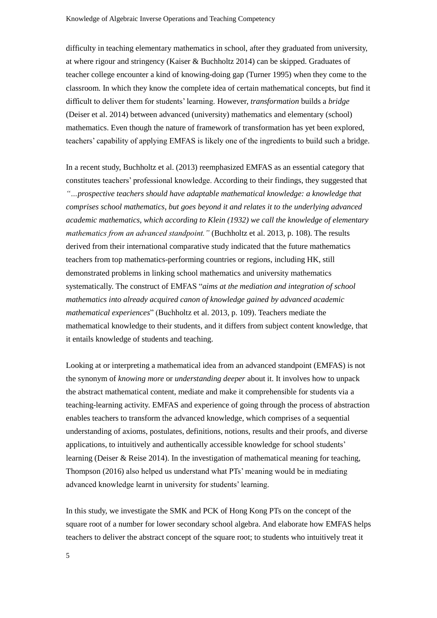difficulty in teaching elementary mathematics in school, after they graduated from university, at where rigour and stringency (Kaiser & Buchholtz 2014) can be skipped. Graduates of teacher college encounter a kind of knowing-doing gap (Turner 1995) when they come to the classroom. In which they know the complete idea of certain mathematical concepts, but find it difficult to deliver them for students' learning. However, *transformation* builds a *bridge* (Deiser et al. 2014) between advanced (university) mathematics and elementary (school) mathematics. Even though the nature of framework of transformation has yet been explored, teachers' capability of applying EMFAS is likely one of the ingredients to build such a bridge.

In a recent study, Buchholtz et al. (2013) reemphasized EMFAS as an essential category that constitutes teachers' professional knowledge. According to their findings, they suggested that *"…prospective teachers should have adaptable mathematical knowledge: a knowledge that comprises school mathematics, but goes beyond it and relates it to the underlying advanced academic mathematics, which according to Klein (1932) we call the knowledge of elementary mathematics from an advanced standpoint."* (Buchholtz et al. 2013, p. 108). The results derived from their international comparative study indicated that the future mathematics teachers from top mathematics-performing countries or regions, including HK, still demonstrated problems in linking school mathematics and university mathematics systematically. The construct of EMFAS "*aims at the mediation and integration of school mathematics into already acquired canon of knowledge gained by advanced academic mathematical experiences*" (Buchholtz et al. 2013, p. 109). Teachers mediate the mathematical knowledge to their students, and it differs from subject content knowledge, that it entails knowledge of students and teaching.

Looking at or interpreting a mathematical idea from an advanced standpoint (EMFAS) is not the synonym of *knowing more* or *understanding deeper* about it. It involves how to unpack the abstract mathematical content, mediate and make it comprehensible for students via a teaching-learning activity. EMFAS and experience of going through the process of abstraction enables teachers to transform the advanced knowledge, which comprises of a sequential understanding of axioms, postulates, definitions, notions, results and their proofs, and diverse applications, to intuitively and authentically accessible knowledge for school students' learning (Deiser & Reise 2014). In the investigation of mathematical meaning for teaching, Thompson (2016) also helped us understand what PTs' meaning would be in mediating advanced knowledge learnt in university for students' learning.

In this study, we investigate the SMK and PCK of Hong Kong PTs on the concept of the square root of a number for lower secondary school algebra. And elaborate how EMFAS helps teachers to deliver the abstract concept of the square root; to students who intuitively treat it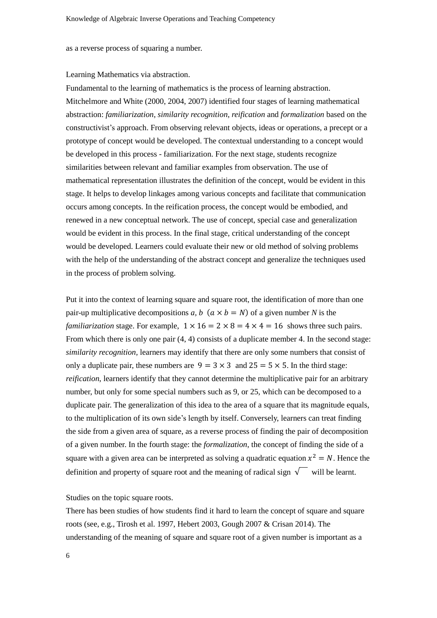as a reverse process of squaring a number.

## Learning Mathematics via abstraction.

Fundamental to the learning of mathematics is the process of learning abstraction. Mitchelmore and White (2000, 2004, 2007) identified four stages of learning mathematical abstraction: *familiarization*, *similarity recognition*, *reification* and *formalization* based on the constructivist's approach. From observing relevant objects, ideas or operations, a precept or a prototype of concept would be developed. The contextual understanding to a concept would be developed in this process - familiarization. For the next stage, students recognize similarities between relevant and familiar examples from observation. The use of mathematical representation illustrates the definition of the concept, would be evident in this stage. It helps to develop linkages among various concepts and facilitate that communication occurs among concepts. In the reification process, the concept would be embodied, and renewed in a new conceptual network. The use of concept, special case and generalization would be evident in this process. In the final stage, critical understanding of the concept would be developed. Learners could evaluate their new or old method of solving problems with the help of the understanding of the abstract concept and generalize the techniques used in the process of problem solving.

Put it into the context of learning square and square root, the identification of more than one pair-up multiplicative decompositions *a*, *b*  $(a \times b = N)$  of a given number *N* is the *familiarization* stage. For example,  $1 \times 16 = 2 \times 8 = 4 \times 4 = 16$  shows three such pairs. From which there is only one pair (4, 4) consists of a duplicate member 4. In the second stage: *similarity recognition,* learners may identify that there are only some numbers that consist of only a duplicate pair, these numbers are  $9 = 3 \times 3$  and  $25 = 5 \times 5$ . In the third stage: *reification*, learners identify that they cannot determine the multiplicative pair for an arbitrary number, but only for some special numbers such as 9, or 25, which can be decomposed to a duplicate pair. The generalization of this idea to the area of a square that its magnitude equals, to the multiplication of its own side's length by itself. Conversely, learners can treat finding the side from a given area of square, as a reverse process of finding the pair of decomposition of a given number. In the fourth stage: the *formalization*, the concept of finding the side of a square with a given area can be interpreted as solving a quadratic equation  $x^2 = N$ . Hence the definition and property of square root and the meaning of radical sign  $\sqrt{\phantom{a}}$  will be learnt.

Studies on the topic square roots.

There has been studies of how students find it hard to learn the concept of square and square roots (see, e.g., Tirosh et al. 1997, Hebert 2003, Gough 2007 & Crisan 2014). The understanding of the meaning of square and square root of a given number is important as a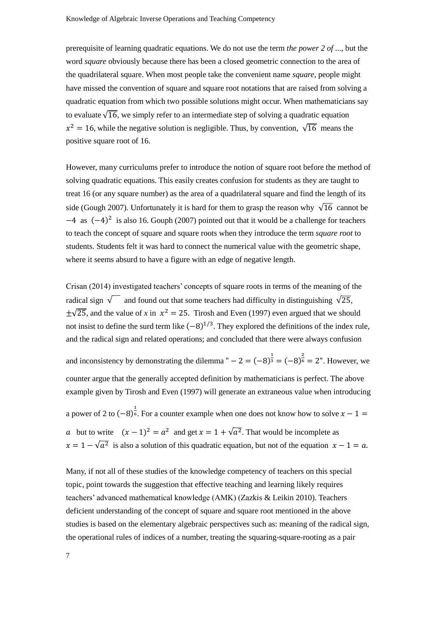prerequisite of learning quadratic equations. We do not use the term *the power 2 of* ..., but the word *square* obviously because there has been a closed geometric connection to the area of the quadrilateral square. When most people take the convenient name *square*, people might have missed the convention of square and square root notations that are raised from solving a quadratic equation from which two possible solutions might occur. When mathematicians say to evaluate  $\sqrt{16}$ , we simply refer to an intermediate step of solving a quadratic equation  $x^2 = 16$ , while the negative solution is negligible. Thus, by convention,  $\sqrt{16}$  means the positive square root of 16.

However, many curriculums prefer to introduce the notion of square root before the method of solving quadratic equations. This easily creates confusion for students as they are taught to treat 16 (or any square number) as the area of a quadrilateral square and find the length of its side (Gough 2007). Unfortunately it is hard for them to grasp the reason why  $\sqrt{16}$  cannot be −4 as (−4) 2 is also 16. Gouph (2007) pointed out that it would be a challenge for teachers to teach the concept of square and square roots when they introduce the term *square root* to students. Students felt it was hard to connect the numerical value with the geometric shape, where it seems absurd to have a figure with an edge of negative length.

Crisan (2014) investigated teachers' concepts of square roots in terms of the meaning of the radical sign  $\sqrt{\phantom{a}}$  and found out that some teachers had difficulty in distinguishing  $\sqrt{25}$ ,  $\pm\sqrt{25}$ , and the value of *x* in  $x^2 = 25$ . Tirosh and Even (1997) even argued that we should not insist to define the surd term like  $(-8)^{1/3}$ . They explored the definitions of the index rule, and the radical sign and related operations; and concluded that there were always confusion

and inconsistency by demonstrating the dilemma "  $- 2 = (-8)^{\frac{1}{3}} = (-8)^{\frac{2}{6}} = 2$ ". However, we counter argue that the generally accepted definition by mathematicians is perfect. The above example given by Tirosh and Even (1997) will generate an extraneous value when introducing

a power of 2 to  $(-8)^{\frac{1}{6}}$ . For a counter example when one does not know how to solve  $x - 1 =$ *a* but to write  $(x-1)^2 = a^2$  and get  $x = 1 + \sqrt{a^2}$ . That would be incomplete as  $x = 1 - \sqrt{a^2}$  is also a solution of this quadratic equation, but not of the equation  $x - 1 = a$ .

Many, if not all of these studies of the knowledge competency of teachers on this special topic, point towards the suggestion that effective teaching and learning likely requires teachers' advanced mathematical knowledge (AMK) (Zazkis & Leikin 2010). Teachers deficient understanding of the concept of square and square root mentioned in the above studies is based on the elementary algebraic perspectives such as: meaning of the radical sign, the operational rules of indices of a number, treating the squaring-square-rooting as a pair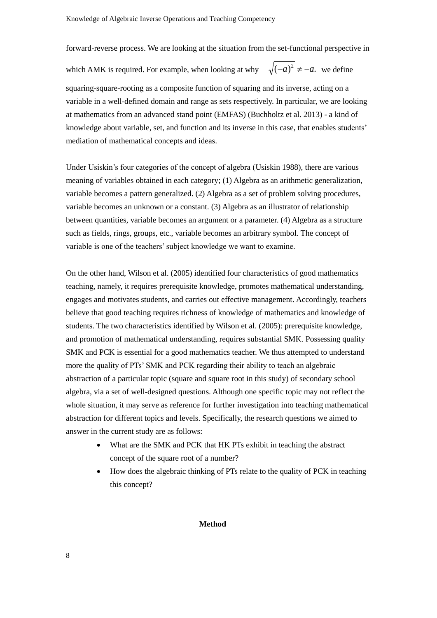forward-reverse process. We are looking at the situation from the set-functional perspective in

which AMK is required. For example, when looking at why  $\sqrt{(-a)^2} \neq -a$ . we define

squaring-square-rooting as a composite function of squaring and its inverse, acting on a variable in a well-defined domain and range as sets respectively. In particular, we are looking at mathematics from an advanced stand point (EMFAS) (Buchholtz et al. 2013) - a kind of knowledge about variable, set, and function and its inverse in this case, that enables students' mediation of mathematical concepts and ideas.

Under Usiskin's four categories of the concept of algebra (Usiskin 1988), there are various meaning of variables obtained in each category; (1) Algebra as an arithmetic generalization, variable becomes a pattern generalized. (2) Algebra as a set of problem solving procedures, variable becomes an unknown or a constant. (3) Algebra as an illustrator of relationship between quantities, variable becomes an argument or a parameter. (4) Algebra as a structure such as fields, rings, groups, etc., variable becomes an arbitrary symbol. The concept of variable is one of the teachers' subject knowledge we want to examine.

On the other hand, Wilson et al. (2005) identified four characteristics of good mathematics teaching, namely, it requires prerequisite knowledge, promotes mathematical understanding, engages and motivates students, and carries out effective management. Accordingly, teachers believe that good teaching requires richness of knowledge of mathematics and knowledge of students. The two characteristics identified by Wilson et al. (2005): prerequisite knowledge, and promotion of mathematical understanding, requires substantial SMK. Possessing quality SMK and PCK is essential for a good mathematics teacher. We thus attempted to understand more the quality of PTs' SMK and PCK regarding their ability to teach an algebraic abstraction of a particular topic (square and square root in this study) of secondary school algebra, via a set of well-designed questions. Although one specific topic may not reflect the whole situation, it may serve as reference for further investigation into teaching mathematical abstraction for different topics and levels. Specifically, the research questions we aimed to answer in the current study are as follows:

- What are the SMK and PCK that HK PTs exhibit in teaching the abstract concept of the square root of a number?
- How does the algebraic thinking of PTs relate to the quality of PCK in teaching this concept?

#### **Method**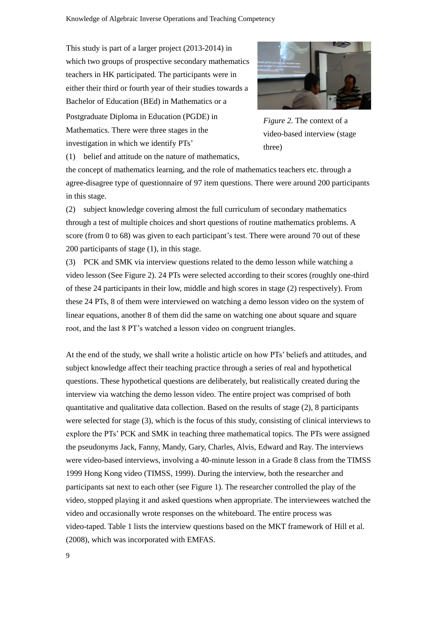This study is part of a larger project (2013-2014) in which two groups of prospective secondary mathematics teachers in HK participated. The participants were in either their third or fourth year of their studies towards a Bachelor of Education (BEd) in Mathematics or a

Postgraduate Diploma in Education (PGDE) in Mathematics. There were three stages in the investigation in which we identify PTs'



*Figure 2.* The context of a video-based interview (stage three)

(1) belief and attitude on the nature of mathematics,

the concept of mathematics learning, and the role of mathematics teachers etc. through a agree-disagree type of questionnaire of 97 item questions. There were around 200 participants in this stage.

(2) subject knowledge covering almost the full curriculum of secondary mathematics through a test of multiple choices and short questions of routine mathematics problems. A score (from 0 to 68) was given to each participant's test. There were around 70 out of these 200 participants of stage (1), in this stage.

(3) PCK and SMK via interview questions related to the demo lesson while watching a video lesson (See Figure 2). 24 PTs were selected according to their scores (roughly one-third of these 24 participants in their low, middle and high scores in stage (2) respectively). From these 24 PTs, 8 of them were interviewed on watching a demo lesson video on the system of linear equations, another 8 of them did the same on watching one about square and square root, and the last 8 PT's watched a lesson video on congruent triangles.

At the end of the study, we shall write a holistic article on how PTs' beliefs and attitudes, and subject knowledge affect their teaching practice through a series of real and hypothetical questions. These hypothetical questions are deliberately, but realistically created during the interview via watching the demo lesson video. The entire project was comprised of both quantitative and qualitative data collection. Based on the results of stage (2), 8 participants were selected for stage (3), which is the focus of this study, consisting of clinical interviews to explore the PTs' PCK and SMK in teaching three mathematical topics. The PTs were assigned the pseudonyms Jack, Fanny, Mandy, Gary, Charles, Alvis, Edward and Ray. The interviews were video-based interviews, involving a 40-minute lesson in a Grade 8 class from the TIMSS 1999 Hong Kong video (TIMSS, 1999). During the interview, both the researcher and participants sat next to each other (see Figure 1). The researcher controlled the play of the video, stopped playing it and asked questions when appropriate. The interviewees watched the video and occasionally wrote responses on the whiteboard. The entire process was video-taped. Table 1 lists the interview questions based on the MKT framework of Hill et al. (2008), which was incorporated with EMFAS.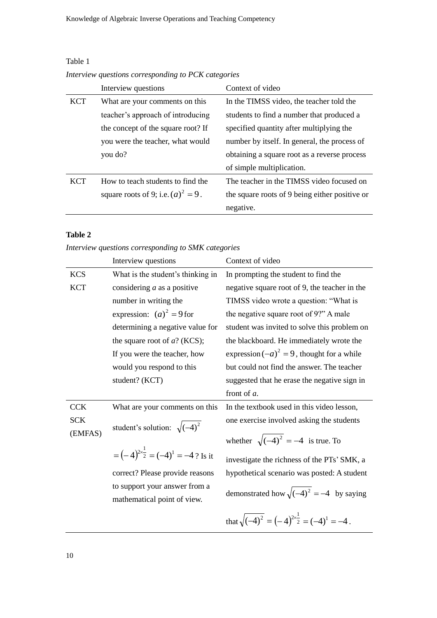## Table 1

*Interview questions corresponding to PCK categories*

|            | Interview questions                   | Context of video                               |
|------------|---------------------------------------|------------------------------------------------|
| <b>KCT</b> | What are your comments on this        | In the TIMSS video, the teacher told the       |
|            | teacher's approach of introducing     | students to find a number that produced a      |
|            | the concept of the square root? If    | specified quantity after multiplying the       |
|            | you were the teacher, what would      | number by itself. In general, the process of   |
|            | you do?                               | obtaining a square root as a reverse process   |
|            |                                       | of simple multiplication.                      |
| <b>KCT</b> | How to teach students to find the     | The teacher in the TIMSS video focused on      |
|            | square roots of 9; i.e. $(a)^2 = 9$ . | the square roots of 9 being either positive or |
|            |                                       | negative.                                      |

# **Table 2**

*Interview questions corresponding to SMK categories*

|            | Interview questions                                          | Context of video                                                   |
|------------|--------------------------------------------------------------|--------------------------------------------------------------------|
| <b>KCS</b> | What is the student's thinking in                            | In prompting the student to find the                               |
| <b>KCT</b> | considering $a$ as a positive                                | negative square root of 9, the teacher in the                      |
|            | number in writing the                                        | TIMSS video wrote a question: "What is                             |
|            | expression: $(a)^2 = 9$ for                                  | the negative square root of 9?" A male                             |
|            | determining a negative value for                             | student was invited to solve this problem on                       |
|            | the square root of $a$ ? (KCS);                              | the blackboard. He immediately wrote the                           |
|            | If you were the teacher, how                                 | expression $(-a)^2 = 9$ , thought for a while                      |
|            | would you respond to this                                    | but could not find the answer. The teacher                         |
|            | student? (KCT)                                               | suggested that he erase the negative sign in                       |
|            |                                                              | front of a.                                                        |
| <b>CCK</b> | What are your comments on this                               | In the textbook used in this video lesson,                         |
| <b>SCK</b> | student's solution: $\sqrt{(-4)^2}$                          | one exercise involved asking the students                          |
| (EMFAS)    |                                                              | whether $\sqrt{(-4)^2} = -4$ is true. To                           |
|            | $=(-4)^{2\times\frac{1}{2}}=(-4)^{1}=-4$ ? Is it             | investigate the richness of the PTs' SMK, a                        |
|            | correct? Please provide reasons                              | hypothetical scenario was posted: A student                        |
|            | to support your answer from a<br>mathematical point of view. | demonstrated how $\sqrt{(-4)^2} = -4$ by saying                    |
|            |                                                              | that $\sqrt{(-4)^2} = (-4)^{2 \times \frac{1}{2}} = (-4)^1 = -4$ . |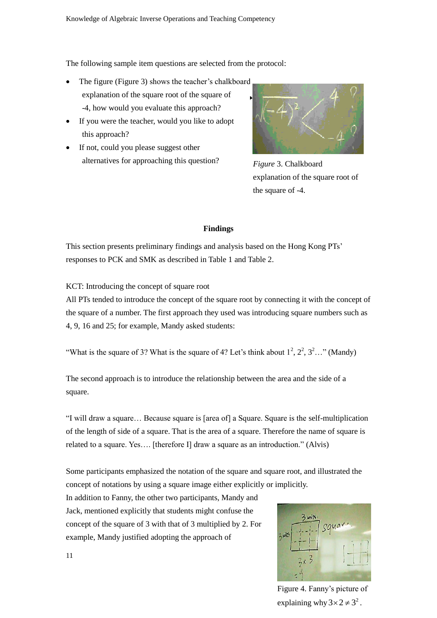The following sample item questions are selected from the protocol:

- The figure (Figure 3) shows the teacher's chalkboard explanation of the square root of the square of -4, how would you evaluate this approach?
- If you were the teacher, would you like to adopt this approach?
- If not, could you please suggest other alternatives for approaching this question?



*Figure* 3. Chalkboard explanation of the square root of the square of -4.

## **Findings**

This section presents preliminary findings and analysis based on the Hong Kong PTs' responses to PCK and SMK as described in Table 1 and Table 2.

KCT: Introducing the concept of square root

All PTs tended to introduce the concept of the square root by connecting it with the concept of the square of a number. The first approach they used was introducing square numbers such as 4, 9, 16 and 25; for example, Mandy asked students:

"What is the square of 3? What is the square of 4? Let's think about  $1^2$ ,  $2^2$ ,  $3^2$ ..." (Mandy)

The second approach is to introduce the relationship between the area and the side of a square.

"I will draw a square… Because square is [area of] a Square. Square is the self-multiplication of the length of side of a square. That is the area of a square. Therefore the name of square is related to a square. Yes…. [therefore I] draw a square as an introduction." (Alvis)

Some participants emphasized the notation of the square and square root, and illustrated the concept of notations by using a square image either explicitly or implicitly.

In addition to Fanny, the other two participants, Mandy and Jack, mentioned explicitly that students might confuse the concept of the square of 3 with that of 3 multiplied by 2. For example, Mandy justified adopting the approach of



Figure 4. Fanny's picture of explaining why  $3 \times 2 \neq 3^2$ .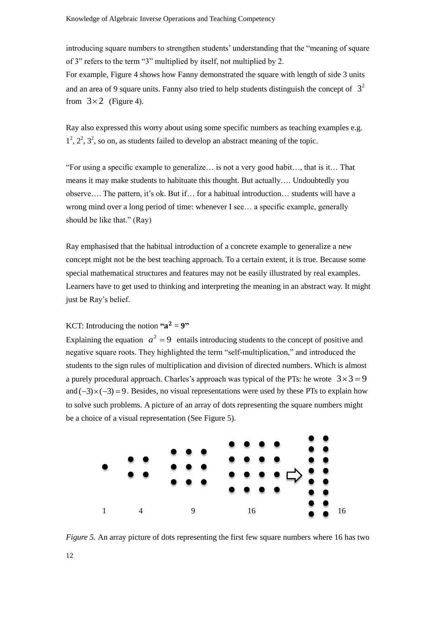introducing square numbers to strengthen students' understanding that the "meaning of square of 3" refers to the term "3" multiplied by itself, not multiplied by 2.

For example, Figure 4 shows how Fanny demonstrated the square with length of side 3 units and an area of 9 square units. Fanny also tried to help students distinguish the concept of  $3<sup>2</sup>$ from  $3 \times 2$  (Figure 4).

Ray also expressed this worry about using some specific numbers as teaching examples e.g.  $1^2$ ,  $2^2$ ,  $3^2$ , so on, as students failed to develop an abstract meaning of the topic.

"For using a specific example to generalize… is not a very good habit…, that is it… That means it may make students to habituate this thought. But actually…. Undoubtedly you observe…. The pattern, it's ok. But if… for a habitual introduction… students will have a wrong mind over a long period of time: whenever I see… a specific example, generally should be like that." (Ray)

Ray emphasised that the habitual introduction of a concrete example to generalize a new concept might not be the best teaching approach. To a certain extent, it is true. Because some special mathematical structures and features may not be easily illustrated by real examples. Learners have to get used to thinking and interpreting the meaning in an abstract way. It might just be Ray's belief.

## KCT: Introducing the notion  $a^2 = 9$ "

Explaining the equation  $a^2 = 9$  entails introducing students to the concept of positive and negative square roots. They highlighted the term "self-multiplication," and introduced the students to the sign rules of multiplication and division of directed numbers. Which is almost a purely procedural approach. Charles's approach was typical of the PTs: he wrote  $3 \times 3 = 9$ and  $(-3) \times (-3) = 9$ . Besides, no visual representations were used by these PTs to explain how to solve such problems. A picture of an array of dots representing the square numbers might be a choice of a visual representation (See Figure 5).



12 *Figure 5.* An array picture of dots representing the first few square numbers where 16 has two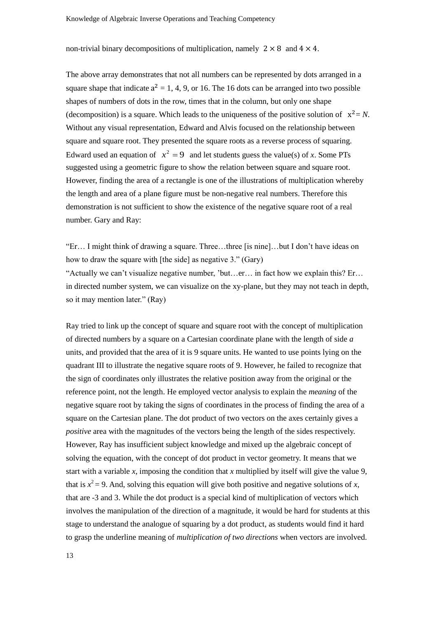non-trivial binary decompositions of multiplication, namely  $2 \times 8$  and  $4 \times 4$ .

The above array demonstrates that not all numbers can be represented by dots arranged in a square shape that indicate  $a^2 = 1, 4, 9$ , or 16. The 16 dots can be arranged into two possible shapes of numbers of dots in the row, times that in the column, but only one shape (decomposition) is a square. Which leads to the uniqueness of the positive solution of  $x^2 = N$ . Without any visual representation, Edward and Alvis focused on the relationship between square and square root. They presented the square roots as a reverse process of squaring. Edward used an equation of  $x^2 = 9$  and let students guess the value(s) of *x*. Some PTs suggested using a geometric figure to show the relation between square and square root. However, finding the area of a rectangle is one of the illustrations of multiplication whereby the length and area of a plane figure must be non-negative real numbers. Therefore this demonstration is not sufficient to show the existence of the negative square root of a real number. Gary and Ray:

"Er… I might think of drawing a square. Three…three [is nine]…but I don't have ideas on how to draw the square with [the side] as negative 3." (Gary) "Actually we can't visualize negative number, 'but…er… in fact how we explain this? Er… in directed number system, we can visualize on the xy-plane, but they may not teach in depth, so it may mention later." (Ray)

Ray tried to link up the concept of square and square root with the concept of multiplication of directed numbers by a square on a Cartesian coordinate plane with the length of side *a* units, and provided that the area of it is 9 square units. He wanted to use points lying on the quadrant III to illustrate the negative square roots of 9. However, he failed to recognize that the sign of coordinates only illustrates the relative position away from the original or the reference point, not the length. He employed vector analysis to explain the *meaning* of the negative square root by taking the signs of coordinates in the process of finding the area of a square on the Cartesian plane. The dot product of two vectors on the axes certainly gives a *positive* area with the magnitudes of the vectors being the length of the sides respectively. However, Ray has insufficient subject knowledge and mixed up the algebraic concept of solving the equation, with the concept of dot product in vector geometry. It means that we start with a variable *x*, imposing the condition that *x* multiplied by itself will give the value 9, that is  $x^2 = 9$ . And, solving this equation will give both positive and negative solutions of *x*, that are -3 and 3. While the dot product is a special kind of multiplication of vectors which involves the manipulation of the direction of a magnitude, it would be hard for students at this stage to understand the analogue of squaring by a dot product, as students would find it hard to grasp the underline meaning of *multiplication of two directions* when vectors are involved.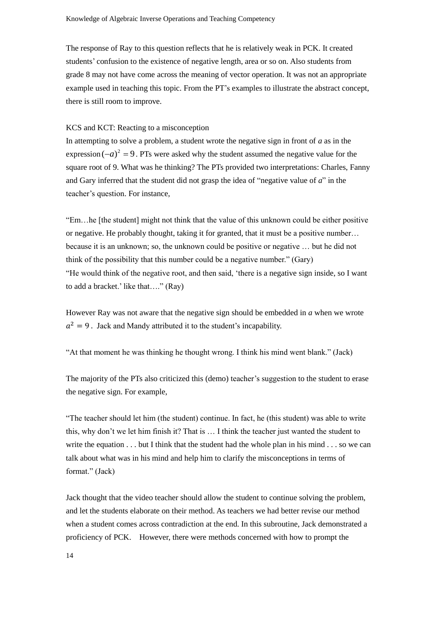The response of Ray to this question reflects that he is relatively weak in PCK. It created students' confusion to the existence of negative length, area or so on. Also students from grade 8 may not have come across the meaning of vector operation. It was not an appropriate example used in teaching this topic. From the PT's examples to illustrate the abstract concept, there is still room to improve.

## KCS and KCT: Reacting to a misconception

In attempting to solve a problem, a student wrote the negative sign in front of *a* as in the expression  $(-a)^2 = 9$ . PTs were asked why the student assumed the negative value for the square root of 9. What was he thinking? The PTs provided two interpretations: Charles, Fanny and Gary inferred that the student did not grasp the idea of "negative value of *a*" in the teacher's question. For instance,

"Em…he [the student] might not think that the value of this unknown could be either positive or negative. He probably thought, taking it for granted, that it must be a positive number… because it is an unknown; so, the unknown could be positive or negative … but he did not think of the possibility that this number could be a negative number." (Gary) "He would think of the negative root, and then said, 'there is a negative sign inside, so I want to add a bracket.' like that…." (Ray)

However Ray was not aware that the negative sign should be embedded in *a* when we wrote  $a^2 = 9$ . Jack and Mandy attributed it to the student's incapability.

"At that moment he was thinking he thought wrong. I think his mind went blank." (Jack)

The majority of the PTs also criticized this (demo) teacher's suggestion to the student to erase the negative sign. For example,

"The teacher should let him (the student) continue. In fact, he (this student) was able to write this, why don't we let him finish it? That is … I think the teacher just wanted the student to write the equation . . . but I think that the student had the whole plan in his mind . . . so we can talk about what was in his mind and help him to clarify the misconceptions in terms of format." (Jack)

Jack thought that the video teacher should allow the student to continue solving the problem, and let the students elaborate on their method. As teachers we had better revise our method when a student comes across contradiction at the end. In this subroutine, Jack demonstrated a proficiency of PCK. However, there were methods concerned with how to prompt the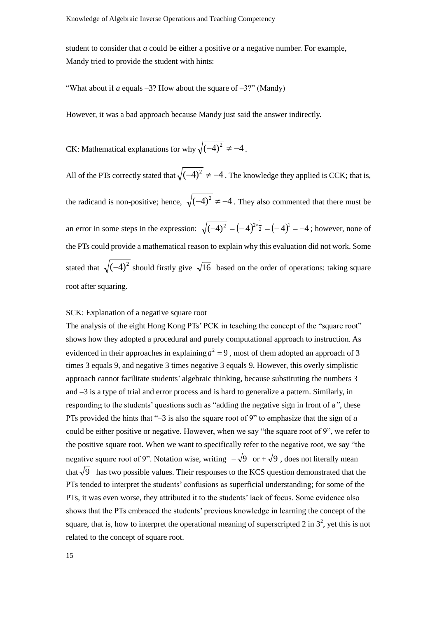student to consider that *a* could be either a positive or a negative number. For example, Mandy tried to provide the student with hints:

"What about if *a* equals  $-3$ ? How about the square of  $-3$ ?" (Mandy)

However, it was a bad approach because Mandy just said the answer indirectly.

CK: Mathematical explanations for why  $\sqrt{(-4)^2} \neq -4$ .

All of the PTs correctly stated that  $\sqrt{(-4)^2} \neq -4$ . The knowledge they applied is CCK; that is, the radicand is non-positive; hence,  $\sqrt{(-4)^2} \neq -4$ . They also commented that there must be an error in some steps in the expression:  $\sqrt{(-4)^2} = (-4)^{2 \times \frac{1}{2}} = (-4)^1 = -4$  $\overline{-4)^2}$  =  $(-4)^{2 \times \frac{1}{2}}$  =  $(-4)^1$  = -4; however, none of the PTs could provide a mathematical reason to explain why this evaluation did not work. Some stated that  $\sqrt{(-4)^2}$  should firstly give  $\sqrt{16}$  based on the order of operations: taking square root after squaring.

## SCK: Explanation of a negative square root

The analysis of the eight Hong Kong PTs' PCK in teaching the concept of the "square root" shows how they adopted a procedural and purely computational approach to instruction. As evidenced in their approaches in explaining  $a^2 = 9$ , most of them adopted an approach of 3 times 3 equals 9, and negative 3 times negative 3 equals 9. However, this overly simplistic approach cannot facilitate students' algebraic thinking, because substituting the numbers 3 and –3 is a type of trial and error process and is hard to generalize a pattern. Similarly, in responding to the students' questions such as "adding the negative sign in front of a*"*, these PTs provided the hints that "–3 is also the square root of 9" to emphasize that the sign of *a* could be either positive or negative. However, when we say "the square root of 9", we refer to the positive square root. When we want to specifically refer to the negative root, we say "the negative square root of 9". Notation wise, writing  $-\sqrt{9}$  or  $+\sqrt{9}$ , does not literally mean that  $\sqrt{9}$  has two possible values. Their responses to the KCS question demonstrated that the PTs tended to interpret the students' confusions as superficial understanding; for some of the PTs, it was even worse, they attributed it to the students' lack of focus. Some evidence also shows that the PTs embraced the students' previous knowledge in learning the concept of the square, that is, how to interpret the operational meaning of superscripted 2 in  $3^2$ , yet this is not related to the concept of square root.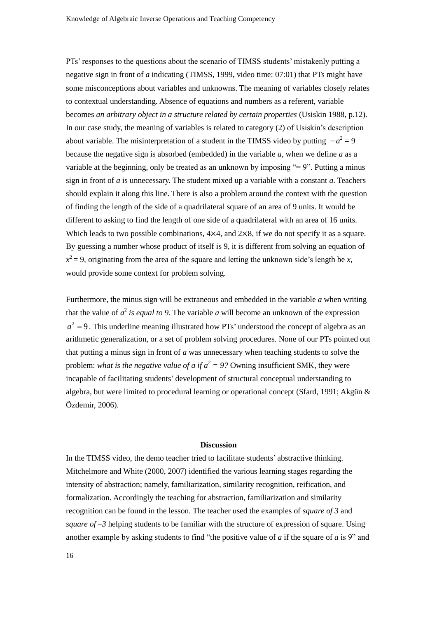PTs' responses to the questions about the scenario of TIMSS students' mistakenly putting a negative sign in front of *a* indicating (TIMSS, 1999, video time: 07:01) that PTs might have some misconceptions about variables and unknowns. The meaning of variables closely relates to contextual understanding. Absence of equations and numbers as a referent, variable becomes *an arbitrary object in a structure related by certain properties* (Usiskin 1988, p.12). In our case study, the meaning of variables is related to category (2) of Usiskin's description about variable. The misinterpretation of a student in the TIMSS video by putting  $-a^2 = 9$ because the negative sign is absorbed (embedded) in the variable *a*, when we define *a* as a variable at the beginning, only be treated as an unknown by imposing " $= 9$ ". Putting a minus sign in front of *a* is unnecessary. The student mixed up a variable with a constant *a*. Teachers should explain it along this line. There is also a problem around the context with the question of finding the length of the side of a quadrilateral square of an area of 9 units. It would be different to asking to find the length of one side of a quadrilateral with an area of 16 units. Which leads to two possible combinations,  $4\times4$ , and  $2\times8$ , if we do not specify it as a square. By guessing a number whose product of itself is 9, it is different from solving an equation of  $x^2 = 9$ , originating from the area of the square and letting the unknown side's length be *x*, would provide some context for problem solving.

Furthermore, the minus sign will be extraneous and embedded in the variable *a* when writing that the value of  $a^2$  is equal to 9. The variable a will become an unknown of the expression  $a^2 = 9$ . This underline meaning illustrated how PTs' understood the concept of algebra as an arithmetic generalization, or a set of problem solving procedures. None of our PTs pointed out that putting a minus sign in front of *a* was unnecessary when teaching students to solve the problem: *what is the negative value of a if*  $a^2 = 9$ *?* Owning insufficient SMK, they were incapable of facilitating students' development of structural conceptual understanding to algebra, but were limited to procedural learning or operational concept (Sfard, 1991; Akgün & Özdemir, 2006).

#### **Discussion**

In the TIMSS video, the demo teacher tried to facilitate students' abstractive thinking. Mitchelmore and White (2000, 2007) identified the various learning stages regarding the intensity of abstraction; namely, familiarization, similarity recognition, reification, and formalization. Accordingly the teaching for abstraction, familiarization and similarity recognition can be found in the lesson. The teacher used the examples of *square of 3* and *square of –3* helping students to be familiar with the structure of expression of square. Using another example by asking students to find "the positive value of *a* if the square of *a* is 9" and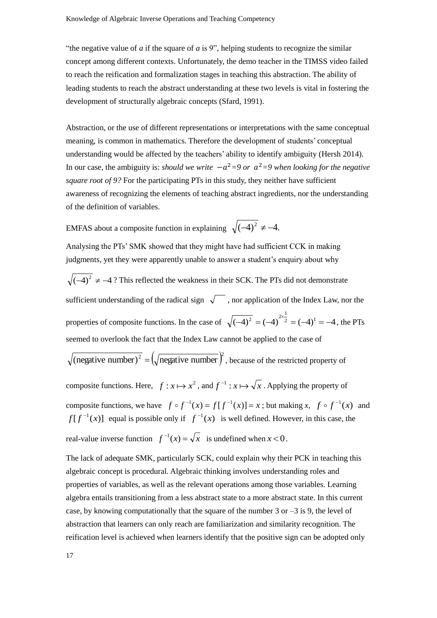"the negative value of  $\alpha$  if the square of  $\alpha$  is 9", helping students to recognize the similar concept among different contexts. Unfortunately, the demo teacher in the TIMSS video failed to reach the reification and formalization stages in teaching this abstraction. The ability of leading students to reach the abstract understanding at these two levels is vital in fostering the development of structurally algebraic concepts (Sfard, 1991).

Abstraction, or the use of different representations or interpretations with the same conceptual meaning, is common in mathematics. Therefore the development of students' conceptual understanding would be affected by the teachers' ability to identify ambiguity (Hersh 2014). In our case, the ambiguity is: *should we write*  $-a^2 = 9$  *or*  $a^2 = 9$  *when looking for the negative square root of 9?* For the participating PTs in this study, they neither have sufficient awareness of recognizing the elements of teaching abstract ingredients, nor the understanding of the definition of variables.

EMFAS about a composite function in explaining  $\sqrt{(-4)^2} \neq -4$ .

Analysing the PTs' SMK showed that they might have had sufficient CCK in making judgments, yet they were apparently unable to answer a student's enquiry about why  $(-4)^2 \neq -4$ ? This reflected the weakness in their SCK. The PTs did not demonstrate sufficient understanding of the radical sign  $\sqrt{\phantom{a}}$ , nor application of the Index Law, nor the properties of composite functions. In the case of  $\sqrt{(-4)^2 = (-4)^{2}} = (-4)^{1} = -4$  $\overline{-4)^2}$  =  $(-4)^{2 \times \frac{1}{2}}$  =  $(-4)^1$  =  $-4$ , the PTs seemed to overlook the fact that the Index Law cannot be applied to the case of (negative number)<sup>2</sup> =  $(\sqrt{\text{negative number}})^2$ , because of the restricted property of composite functions. Here,  $f: x \mapsto x^2$ , and  $f^{-1}: x \mapsto \sqrt{x}$ . Applying the property of composite functions, we have  $f \circ f^{-1}(x) = f[f^{-1}(x)] = x$ ; but making  $x, f \circ f^{-1}(x)$  and  $f[f^{-1}(x)]$  equal is possible only if  $f^{-1}(x)$  is well defined. However, in this case, the

real-value inverse function 
$$
f^{-1}(x) = \sqrt{x}
$$
 is undefined when  $x < 0$ .

The lack of adequate SMK, particularly SCK, could explain why their PCK in teaching this algebraic concept is procedural. Algebraic thinking involves understanding roles and properties of variables, as well as the relevant operations among those variables. Learning algebra entails transitioning from a less abstract state to a more abstract state. In this current case, by knowing computationally that the square of the number 3 or  $-3$  is 9, the level of abstraction that learners can only reach are familiarization and similarity recognition. The reification level is achieved when learners identify that the positive sign can be adopted only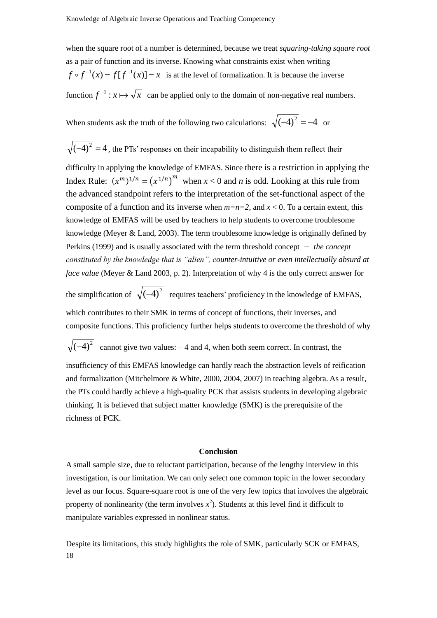when the square root of a number is determined, because we treat *squaring-taking square root* as a pair of function and its inverse. Knowing what constraints exist when writing  $f \circ f^{-1}(x) = f[f^{-1}(x)] = x$  is at the level of formalization. It is because the inverse function  $f^{-1}$ :  $x \mapsto \sqrt{x}$  can be applied only to the domain of non-negative real numbers.

When students ask the truth of the following two calculations:  $\sqrt{(-4)^2} = -4$  or

 $(-4)^2 = 4$ , the PTs' responses on their incapability to distinguish them reflect their difficulty in applying the knowledge of EMFAS. Since there is a restriction in applying the Index Rule:  $(x^m)^{1/n} = (x^{1/n})^m$  when  $x < 0$  and *n* is odd. Looking at this rule from the advanced standpoint refers to the interpretation of the set-functional aspect of the composite of a function and its inverse when  $m=n=2$ , and  $x < 0$ . To a certain extent, this knowledge of EMFAS will be used by teachers to help students to overcome troublesome knowledge (Meyer & Land, 2003). The term troublesome knowledge is originally defined by Perkins (1999) and is usually associated with the term threshold concept − *the concept constituted by the knowledge that is "alien", counter-intuitive or even intellectually absurd at face value* (Meyer & Land 2003, p. 2). Interpretation of why 4 is the only correct answer for

the simplification of  $\sqrt{(-4)^2}$  requires teachers' proficiency in the knowledge of EMFAS, which contributes to their SMK in terms of concept of functions, their inverses, and composite functions. This proficiency further helps students to overcome the threshold of why

 $(-4)^2$  cannot give two values:  $-4$  and 4, when both seem correct. In contrast, the

insufficiency of this EMFAS knowledge can hardly reach the abstraction levels of reification and formalization (Mitchelmore & White, 2000, 2004, 2007) in teaching algebra. As a result, the PTs could hardly achieve a high-quality PCK that assists students in developing algebraic thinking. It is believed that subject matter knowledge (SMK) is the prerequisite of the richness of PCK.

#### **Conclusion**

A small sample size, due to reluctant participation, because of the lengthy interview in this investigation, is our limitation. We can only select one common topic in the lower secondary level as our focus. Square-square root is one of the very few topics that involves the algebraic property of nonlinearity (the term involves  $x^2$ ). Students at this level find it difficult to manipulate variables expressed in nonlinear status.

18 Despite its limitations, this study highlights the role of SMK, particularly SCK or EMFAS,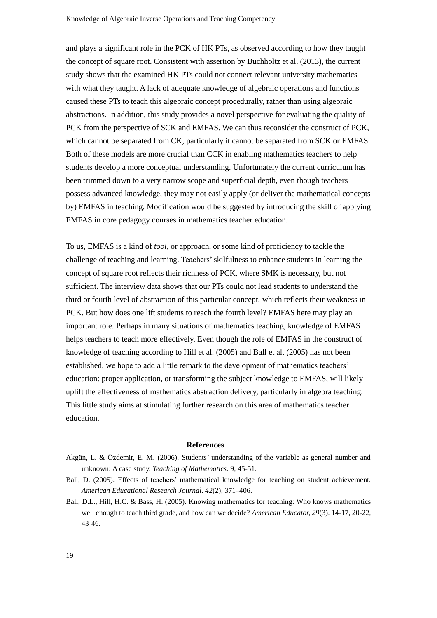and plays a significant role in the PCK of HK PTs, as observed according to how they taught the concept of square root. Consistent with assertion by Buchholtz et al. (2013), the current study shows that the examined HK PTs could not connect relevant university mathematics with what they taught. A lack of adequate knowledge of algebraic operations and functions caused these PTs to teach this algebraic concept procedurally, rather than using algebraic abstractions. In addition, this study provides a novel perspective for evaluating the quality of PCK from the perspective of SCK and EMFAS. We can thus reconsider the construct of PCK, which cannot be separated from CK, particularly it cannot be separated from SCK or EMFAS. Both of these models are more crucial than CCK in enabling mathematics teachers to help students develop a more conceptual understanding. Unfortunately the current curriculum has been trimmed down to a very narrow scope and superficial depth, even though teachers possess advanced knowledge, they may not easily apply (or deliver the mathematical concepts by) EMFAS in teaching. Modification would be suggested by introducing the skill of applying EMFAS in core pedagogy courses in mathematics teacher education.

To us, EMFAS is a kind of *tool*, or approach, or some kind of proficiency to tackle the challenge of teaching and learning. Teachers' skilfulness to enhance students in learning the concept of square root reflects their richness of PCK, where SMK is necessary, but not sufficient. The interview data shows that our PTs could not lead students to understand the third or fourth level of abstraction of this particular concept, which reflects their weakness in PCK. But how does one lift students to reach the fourth level? EMFAS here may play an important role. Perhaps in many situations of mathematics teaching, knowledge of EMFAS helps teachers to teach more effectively. Even though the role of EMFAS in the construct of knowledge of teaching according to Hill et al. (2005) and Ball et al. (2005) has not been established, we hope to add a little remark to the development of mathematics teachers' education: proper application, or transforming the subject knowledge to EMFAS, will likely uplift the effectiveness of mathematics abstraction delivery, particularly in algebra teaching. This little study aims at stimulating further research on this area of mathematics teacher education.

#### **References**

- Akgün, L. & Özdemir, E. M. (2006). Students' understanding of the variable as general number and unknown: A case study. *Teaching of Mathematics*. 9, 45-51.
- Ball, D. (2005). Effects of teachers' mathematical knowledge for teaching on student achievement. *American Educational Research Journal*. *42*(2), 371–406.
- Ball, D.L., Hill, H.C. & Bass, H. (2005). Knowing mathematics for teaching: Who knows mathematics well enough to teach third grade, and how can we decide? *American Educator, 29*(3). 14-17, 20-22, 43-46.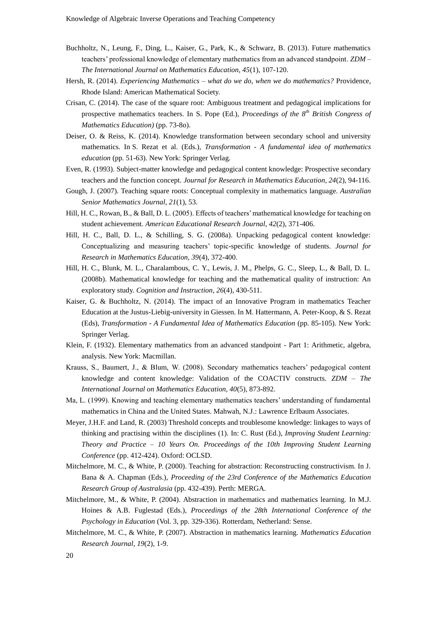- Buchholtz, N., Leung, F., Ding, L., Kaiser, G., Park, K., & Schwarz, B. (2013). Future mathematics teachers' professional knowledge of elementary mathematics from an advanced standpoint. *ZDM – The International Journal on Mathematics Education, 45*(1), 107-120.
- Hersh, R. (2014). *Experiencing Mathematics – what do we do, when we do mathematics?* Providence, Rhode Island: American Mathematical Society.
- Crisan, C. (2014). The case of the square root: Ambiguous treatment and pedagogical implications for prospective mathematics teachers. In S. Pope (Ed.), *Proceedings of the 8th British Congress of Mathematics Education)* (pp. 73-8o).
- Deiser, O. & Reiss, K. (2014). Knowledge transformation between secondary school and university mathematics. In S. Rezat et al. (Eds.), *Transformation - A fundamental idea of mathematics education* (pp. 51-63). New York: Springer Verlag.
- Even, R. (1993). Subject-matter knowledge and pedagogical content knowledge: Prospective secondary teachers and the function concept. *Journal for Research in Mathematics Education, 24*(2), 94-116.
- Gough, J. (2007). Teaching square roots: Conceptual complexity in mathematics language. *Australian Senior Mathematics Journal*, *21*(1), 53.
- Hill, H. C., Rowan, B., & Ball, D. L. (2005). Effects of teachers' mathematical knowledge for teaching on student achievement. *American Educational Research Journal*, *42*(2), 371-406.
- Hill, H. C., Ball, D. L., & Schilling, S. G. (2008a). Unpacking pedagogical content knowledge: Conceptualizing and measuring teachers' topic-specific knowledge of students. *Journal for Research in Mathematics Education, 39*(4), 372-400.
- Hill, H. C., Blunk, M. L., Charalambous, C. Y., Lewis, J. M., Phelps, G. C., Sleep, L., & Ball, D. L. (2008b). Mathematical knowledge for teaching and the mathematical quality of instruction: An exploratory study. *Cognition and Instruction*, *26*(4), 430-511.
- Kaiser, G. & Buchholtz, N. (2014). The impact of an Innovative Program in mathematics Teacher Education at the Justus-Liebig-university in Giessen. In M. Hattermann, A. Peter-Koop, & S. Rezat (Eds), *Transformation - A Fundamental Idea of Mathematics Education* (pp. 85-105). New York: Springer Verlag.
- Klein, F. (1932). Elementary mathematics from an advanced standpoint Part 1: Arithmetic, algebra, analysis. New York: Macmillan.
- Krauss, S., Baumert, J., & Blum, W. (2008). Secondary mathematics teachers' pedagogical content knowledge and content knowledge: Validation of the COACTIV constructs. *ZDM – The International Journal on Mathematics Education, 40*(5), 873-892.
- Ma, L. (1999). Knowing and teaching elementary mathematics teachers' understanding of fundamental mathematics in China and the United States. Mahwah, N.J.: Lawrence Erlbaum Associates.
- Meyer, J.H.F. and Land, R. (2003) Threshold concepts and troublesome knowledge: linkages to ways of thinking and practising within the disciplines (1). In: C. Rust (Ed.), *Improving Student Learning: Theory and Practice – 10 Years On. Proceedings of the 10th Improving Student Learning Conference* (pp. 412-424). Oxford: OCLSD.
- Mitchelmore, M. C., & White, P. (2000). Teaching for abstraction: Reconstructing constructivism. In J. Bana & A. Chapman (Eds.), *Proceeding of the 23rd Conference of the Mathematics Education Research Group of Australasia* (pp. 432-439). Perth: MERGA.
- Mitchelmore, M., & White, P. (2004). Abstraction in mathematics and mathematics learning. In M.J. Hoines & A.B. Fuglestad (Eds.), *Proceedings of the 28th International Conference of the Psychology in Education* (Vol. 3, pp. 329-336). Rotterdam, Netherland: Sense.
- Mitchelmore, M. C., & White, P. (2007). Abstraction in mathematics learning. *Mathematics Education Research Journal, 19*(2), 1-9.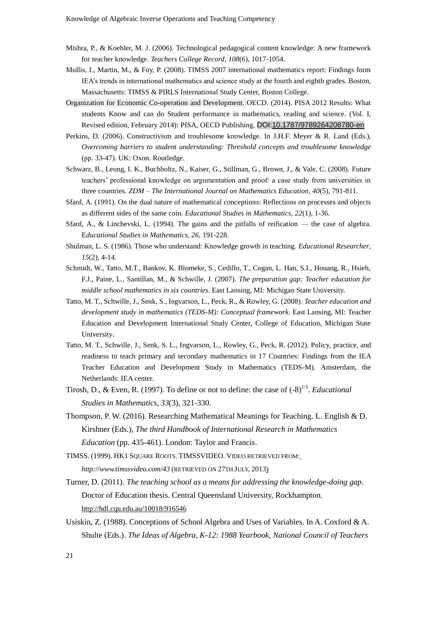- Mishra, P., & Koehler, M. J. (2006). Technological pedagogical content knowledge: A new framework for teacher knowledge. *Teachers College Record*, *108*(6), 1017‐1054.
- Mullis, I., Martin, M., & Foy, P. (2008). TIMSS 2007 international mathematics report: Findings form IEA's trends in international mathematics and science study at the fourth and eighth grades. Boston, Massachusetts: TIMSS & PIRLS International Study Center, Boston College.
- Organization for Economic Co-operation and Development. OECD. (2014). PISA 2012 Results: What students Know and can do Student performance in mathematics, reading and science. (Vol. I, Revised edition, February 2014): PISA, OECD Publishing. DOI[:10.1787/9789264208780-en](http://dx.doi.org/10.1787/9789264208780-en)
- Perkins, D. (2006). Constructivism and troublesome knowledge. In J.H.F. Meyer & R. Land (Eds.), *Overcoming barriers to student understanding: Threshold concepts and troublesome knowledge*  (pp. 33-47). UK: Oxon. Routledge.
- Schwarz, B., Leung, I. K., Buchholtz, N., Kaiser, G., Stillman, G., Brown, J., & Vale, C. (2008). Future teachers' professional knowledge on argumentation and proof: a case study from universities in three countries. *ZDM – The International Journal on Mathematics Education, 40*(5), 791-811.
- Sfard, A. (1991). On the dual nature of mathematical conceptions: Reflections on processes and objects as different sides of the same coin. *Educational Studies in Mathematics, 22*(1), 1-36.
- Sfard, A., & Linchevski, L. (1994). The gains and the pitfalls of reification the case of algebra. E*ducational Studies in Mathematics, 26*, 191-228.
- Shulman, L. S. (1986). Those who understand: Knowledge growth in teaching. *Educational Researcher*, *15*(2), 4-14.
- Schmidt, W., Tatto, M.T., Bankov, K. Blomeke, S., Cedillo, T., Cogan, L. Han, S.I., Houang, R., Hsieh, F.J., Paine, L., Santillan, M., & Schwille, J. (2007). *The preparation gap: Teacher education for middle school mathematics in six countries*. East Lansing, MI: Michigan State University.
- Tatto, M. T., Schwille, J., Senk, S., Ingvarson, L., Peck, R., & Rowley, G. (2008). *Teacher education and development study in mathematics (TEDS-M): Conceptual framework*. East Lansing, MI: Teacher Education and Development International Study Center, College of Education, Michigan State University.
- Tatto, M. T., Schwille, J., Senk, S. L., Ingvarson, L., Rowley, G., Peck, R. (2012). Policy, practice, and readiness to teach primary and secondary mathematics in 17 Countries: Findings from the IEA Teacher Education and Development Study in Mathematics (TEDS-M). Amsterdam, the Netherlands: IEA center.
- Tirosh, D., & Even, R. (1997). To define or not to define: the case of  $(-8)^{1/3}$ . *Educational Studies in Mathematics*, *33*(3), 321-330.
- Thompson, P. W. (2016). Researching Mathematical Meanings for Teaching. L. English & D. Kirshner (Eds.), *The third Handbook of International Research in Mathematics Education* (pp. 435-461). London: Taylor and Francis.
- TIMSS. (1999). HK1 SQUARE ROOTS. TIMSSVIDEO. VIDEO RETRIEVED FROM: *<http://www.timssvideo.com/43>* (RETRIEVED ON 27TH JULY, 2013)
- Turner, D. (2011). *The teaching school as a means for addressing the knowledge-doing gap*. Doctor of Education thesis. Central Queensland University, Rockhampton. <http://hdl.cqu.edu.au/10018/916546>
- Usiskin, Z. (1988). Conceptions of School Algebra and Uses of Variables. In A. Coxford & A. Shulte (Eds.). *The Ideas of Algebra, K-12: 1988 Yearbook, National Council of Teachers*